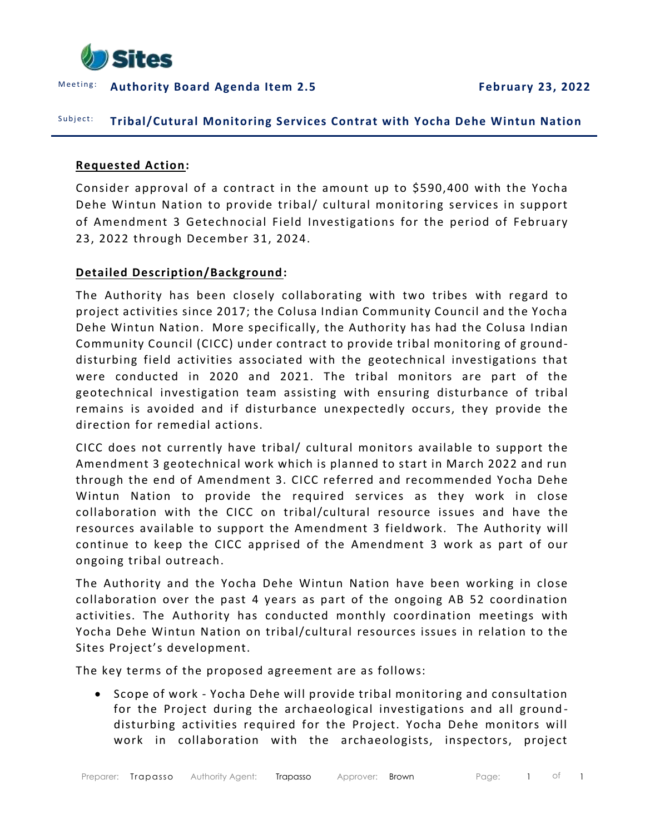

Meeting: Authority Board Agenda Item 2.5 **February 23, 2022** 

#### Subject: **Tribal/Cutural Monitoring Services Contrat with Yocha Dehe Wintun Nation**

#### **Requested Action:**

Consider approval of a contract in the amount up to \$590,400 with the Yocha Dehe Wintun Nation to provide tribal/ cultural monitoring services in support of Amendment 3 Getechnocial Field Investigations for the period of February 23, 2022 through December 31, 2024.

#### **Detailed Description/Background:**

The Authority has been closely collaborating with two tribes with regard to project activities since 2017; the Colusa Indian Community Council and the Yocha Dehe Wintun Nation. More specifically, the Authority has had the Colusa Indian Community Council (CICC) under contract to provide tribal monitoring of grounddisturbing field activities associated with the geotechnical investigations that were conducted in 2020 and 2021. The tribal monitors are part of the geotechnical investigation team assisting with ensuring disturbance of tribal remains is avoided and if disturbance unexpectedly occurs, they provide the direction for remedial actions.

CICC does not currently have tribal/ cultural monitors available to support the Amendment 3 geotechnical work which is planned to start in March 2022 and run through the end of Amendment 3. CICC referred and recommended Yocha Dehe Wintun Nation to provide the required services as they work in close collaboration with the CICC on tribal/cultural resource issues and have the resources available to support the Amendment 3 fieldwork. The Authority will continue to keep the CICC apprised of the Amendment 3 work as part of our ongoing tribal outreach.

The Authority and the Yocha Dehe Wintun Nation have been working in close collaboration over the past 4 years as part of the ongoing AB 52 coordination activities. The Authority has conducted monthly coordination meetings with Yocha Dehe Wintun Nation on tribal/cultural resources issues in relation to the Sites Project's development.

The key terms of the proposed agreement are as follows:

• Scope of work - Yocha Dehe will provide tribal monitoring and consultation for the Project during the archaeological investigations and all ground disturbing activities required for the Project. Yocha Dehe monitors will work in collaboration with the archaeologists, inspectors, project